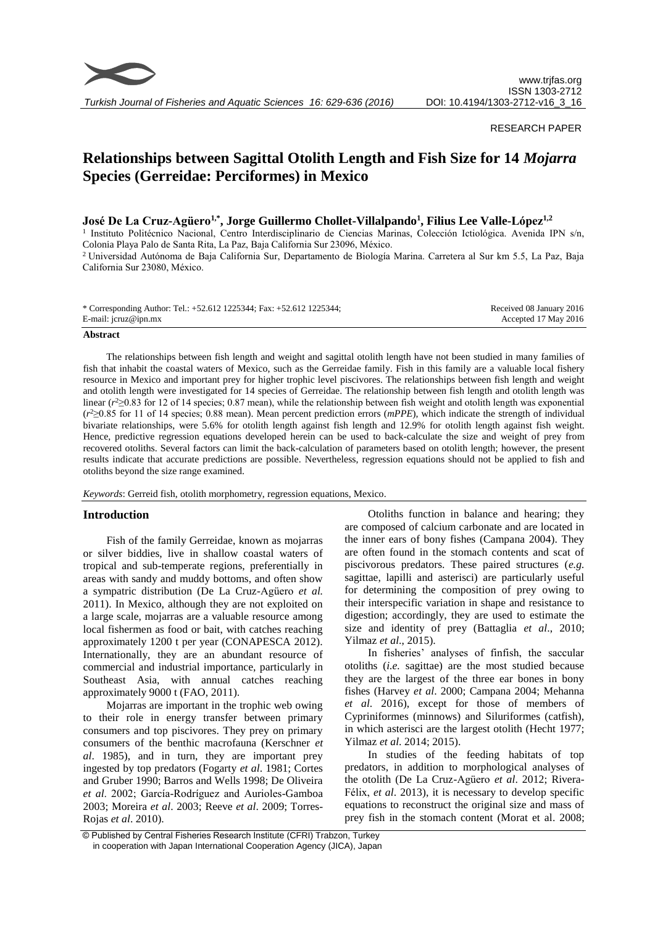

### RESEARCH PAPER

# **Relationships between Sagittal Otolith Length and Fish Size for 14** *Mojarra* **Species (Gerreidae: Perciformes) in Mexico**

# **José De La Cruz-Agüero1,\*, Jorge Guillermo Chollet-Villalpando<sup>1</sup> , Filius Lee Valle-López1,2**

<sup>1</sup> Instituto Politécnico Nacional, Centro Interdisciplinario de Ciencias Marinas, Colección Ictiológica. Avenida IPN s/n, Colonia Playa Palo de Santa Rita, La Paz, Baja California Sur 23096, México.

<sup>2</sup> Universidad Autónoma de Baja California Sur, Departamento de Biología Marina. Carretera al Sur km 5.5, La Paz, Baja California Sur 23080, México.

| * Corresponding Author: Tel.: +52.612 1225344; Fax: +52.612 1225344; | Received 08 January 2016 |
|----------------------------------------------------------------------|--------------------------|
| E-mail: jcruz@ipn.mx                                                 | Accepted 17 May 2016     |

#### **Abstract**

The relationships between fish length and weight and sagittal otolith length have not been studied in many families of fish that inhabit the coastal waters of Mexico, such as the Gerreidae family. Fish in this family are a valuable local fishery resource in Mexico and important prey for higher trophic level piscivores. The relationships between fish length and weight and otolith length were investigated for 14 species of Gerreidae. The relationship between fish length and otolith length was linear  $(r<sup>2</sup> \ge 0.83$  for 12 of 14 species; 0.87 mean), while the relationship between fish weight and otolith length was exponential (*r* <sup>2</sup>≥0.85 for 11 of 14 species; 0.88 mean). Mean percent prediction errors (*mPPE*), which indicate the strength of individual bivariate relationships, were 5.6% for otolith length against fish length and 12.9% for otolith length against fish weight. Hence, predictive regression equations developed herein can be used to back-calculate the size and weight of prey from recovered otoliths. Several factors can limit the back-calculation of parameters based on otolith length; however, the present results indicate that accurate predictions are possible. Nevertheless, regression equations should not be applied to fish and otoliths beyond the size range examined.

*Keywords*: Gerreid fish, otolith morphometry, regression equations, Mexico.

## **Introduction**

Fish of the family Gerreidae, known as mojarras or silver biddies, live in shallow coastal waters of tropical and sub-temperate regions, preferentially in areas with sandy and muddy bottoms, and often show a sympatric distribution (De La Cruz-Agüero *et al.*  2011). In Mexico, although they are not exploited on a large scale, mojarras are a valuable resource among local fishermen as food or bait, with catches reaching approximately 1200 t per year (CONAPESCA 2012). Internationally, they are an abundant resource of commercial and industrial importance, particularly in Southeast Asia, with annual catches reaching approximately 9000 t (FAO, 2011).

Mojarras are important in the trophic web owing to their role in energy transfer between primary consumers and top piscivores. They prey on primary consumers of the benthic macrofauna (Kerschner *et al*. 1985), and in turn, they are important prey ingested by top predators (Fogarty *et al*. 1981; Cortes and Gruber 1990; Barros and Wells 1998; De Oliveira *et al*. 2002; García-Rodríguez and Aurioles-Gamboa 2003; Moreira *et al*. 2003; Reeve *et al*. 2009; Torres-Rojas *et al*. 2010).

Otoliths function in balance and hearing; they are composed of calcium carbonate and are located in the inner ears of bony fishes (Campana 2004). They are often found in the stomach contents and scat of piscivorous predators. These paired structures (*e.g.* sagittae, lapilli and asterisci) are particularly useful for determining the composition of prey owing to their interspecific variation in shape and resistance to digestion; accordingly, they are used to estimate the size and identity of prey (Battaglia *et al*., 2010; Yilmaz *et al*., 2015).

In fisheries' analyses of finfish, the saccular otoliths (*i.e.* sagittae) are the most studied because they are the largest of the three ear bones in bony fishes (Harvey *et al*. 2000; Campana 2004; Mehanna *et al*. 2016), except for those of members of Cypriniformes (minnows) and Siluriformes (catfish), in which asterisci are the largest otolith (Hecht 1977; Yilmaz *et al*. 2014; 2015).

In studies of the feeding habitats of top predators, in addition to morphological analyses of the otolith (De La Cruz-Agüero *et al*. 2012; Rivera-Félix, *et al*. 2013), it is necessary to develop specific equations to reconstruct the original size and mass of prey fish in the stomach content (Morat et al. 2008;

<sup>©</sup> Published by Central Fisheries Research Institute (CFRI) Trabzon, Turkey in cooperation with Japan International Cooperation Agency (JICA), Japan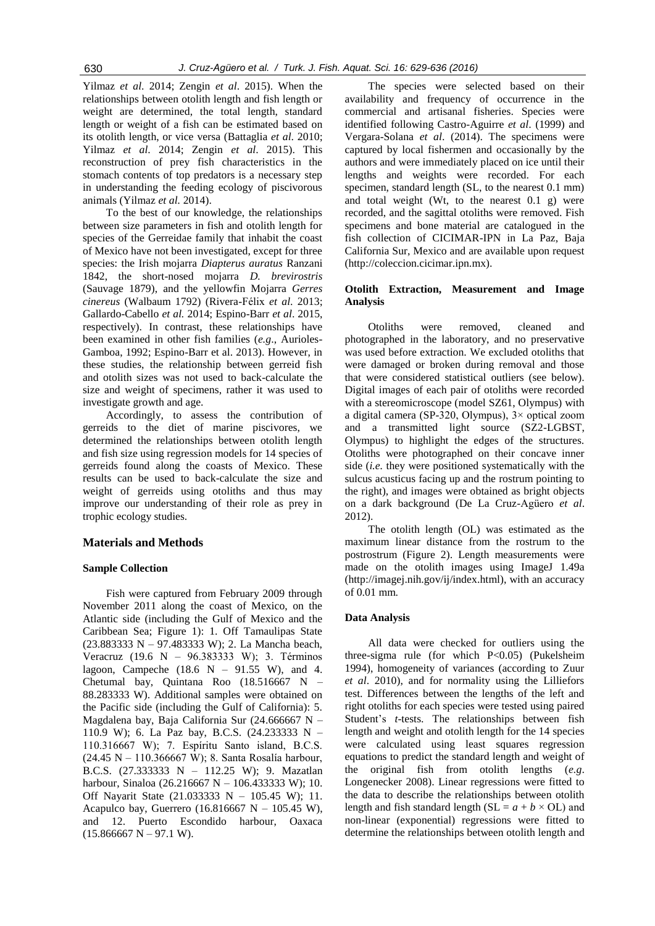Yilmaz *et al*. 2014; Zengin *et al*. 2015). When the relationships between otolith length and fish length or weight are determined, the total length, standard length or weight of a fish can be estimated based on its otolith length, or vice versa (Battaglia *et al*. 2010; Yilmaz *et al*. 2014; Zengin *et al*. 2015). This reconstruction of prey fish characteristics in the stomach contents of top predators is a necessary step in understanding the feeding ecology of piscivorous animals (Yilmaz *et al.* 2014).

To the best of our knowledge, the relationships between size parameters in fish and otolith length for species of the Gerreidae family that inhabit the coast of Mexico have not been investigated, except for three species: the Irish mojarra *Diapterus auratus* Ranzani 1842, the short-nosed mojarra *D. brevirostris* (Sauvage 1879), and the yellowfin Mojarra *Gerres cinereus* (Walbaum 1792) (Rivera-Félix *et al*. 2013; Gallardo-Cabello *et al.* 2014; Espino-Barr *et al*. 2015, respectively). In contrast, these relationships have been examined in other fish families (*e.g*., Aurioles-Gamboa, 1992; Espino-Barr et al. 2013). However, in these studies, the relationship between gerreid fish and otolith sizes was not used to back-calculate the size and weight of specimens, rather it was used to investigate growth and age.

Accordingly, to assess the contribution of gerreids to the diet of marine piscivores, we determined the relationships between otolith length and fish size using regression models for 14 species of gerreids found along the coasts of Mexico. These results can be used to back-calculate the size and weight of gerreids using otoliths and thus may improve our understanding of their role as prey in trophic ecology studies.

#### **Materials and Methods**

#### **Sample Collection**

Fish were captured from February 2009 through November 2011 along the coast of Mexico, on the Atlantic side (including the Gulf of Mexico and the Caribbean Sea; Figure 1): 1. Off Tamaulipas State (23.883333 N – 97.483333 W); 2. La Mancha beach, Veracruz (19.6 N – 96.383333 W); 3. Términos lagoon, Campeche  $(18.6 \text{ N} - 91.55 \text{ W})$ , and 4. Chetumal bay, Quintana Roo (18.516667 N – 88.283333 W). Additional samples were obtained on the Pacific side (including the Gulf of California): 5. Magdalena bay, Baja California Sur (24.666667 N – 110.9 W); 6. La Paz bay, B.C.S. (24.233333 N – 110.316667 W); 7. Espíritu Santo island, B.C.S. (24.45 N – 110.366667 W); 8. Santa Rosalía harbour, B.C.S. (27.333333 N – 112.25 W); 9. Mazatlan harbour, Sinaloa (26.216667 N – 106.433333 W); 10. Off Nayarit State (21.033333 N – 105.45 W); 11. Acapulco bay, Guerrero (16.816667 N – 105.45 W), and 12. Puerto Escondido harbour, Oaxaca  $(15.866667 N - 97.1 W).$ 

The species were selected based on their availability and frequency of occurrence in the commercial and artisanal fisheries. Species were identified following Castro-Aguirre *et al*. (1999) and Vergara-Solana *et al*. (2014). The specimens were captured by local fishermen and occasionally by the authors and were immediately placed on ice until their lengths and weights were recorded. For each specimen, standard length (SL, to the nearest 0.1 mm) and total weight (Wt, to the nearest 0.1 g) were recorded, and the sagittal otoliths were removed. Fish specimens and bone material are catalogued in the fish collection of CICIMAR-IPN in La Paz, Baja California Sur, Mexico and are available upon request (http://coleccion.cicimar.ipn.mx).

#### **Otolith Extraction, Measurement and Image Analysis**

Otoliths were removed, cleaned and photographed in the laboratory, and no preservative was used before extraction. We excluded otoliths that were damaged or broken during removal and those that were considered statistical outliers (see below). Digital images of each pair of otoliths were recorded with a stereomicroscope (model SZ61, Olympus) with a digital camera (SP-320, Olympus), 3× optical zoom and a transmitted light source (SZ2-LGBST, Olympus) to highlight the edges of the structures. Otoliths were photographed on their concave inner side (*i.e.* they were positioned systematically with the sulcus acusticus facing up and the rostrum pointing to the right), and images were obtained as bright objects on a dark background (De La Cruz-Agüero *et al*. 2012).

The otolith length (OL) was estimated as the maximum linear distance from the rostrum to the postrostrum (Figure 2). Length measurements were made on the otolith images using ImageJ 1.49a (http://imagej.nih.gov/ij/index.html), with an accuracy of 0.01 mm.

#### **Data Analysis**

All data were checked for outliers using the three-sigma rule (for which P<0.05) (Pukelsheim 1994), homogeneity of variances (according to Zuur *et al*. 2010), and for normality using the Lilliefors test. Differences between the lengths of the left and right otoliths for each species were tested using paired Student's *t*-tests. The relationships between fish length and weight and otolith length for the 14 species were calculated using least squares regression equations to predict the standard length and weight of the original fish from otolith lengths (*e.g*. Longenecker 2008). Linear regressions were fitted to the data to describe the relationships between otolith length and fish standard length ( $SL = a + b \times OL$ ) and non-linear (exponential) regressions were fitted to determine the relationships between otolith length and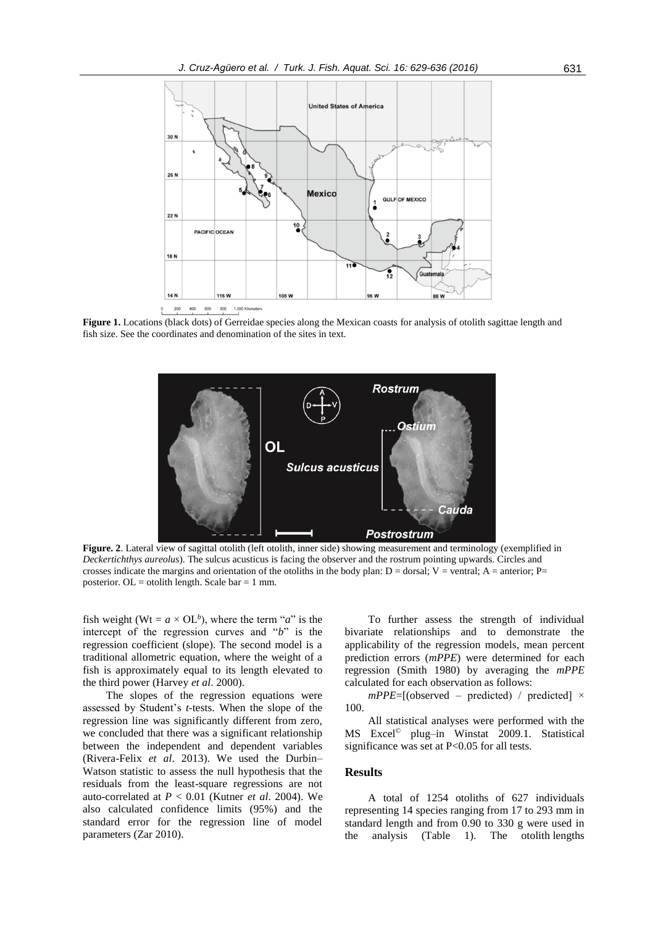

**Figure 1.** Locations (black dots) of Gerreidae species along the Mexican coasts for analysis of otolith sagittae length and fish size. See the coordinates and denomination of the sites in text.



**Figure. 2**. Lateral view of sagittal otolith (left otolith, inner side) showing measurement and terminology (exemplified in *Deckertichthys aureolus*). The sulcus acusticus is facing the observer and the rostrum pointing upwards. Circles and crosses indicate the margins and orientation of the otoliths in the body plan:  $D =$  dorsal;  $V =$  ventral;  $A =$  anterior;  $P =$ posterior.  $OL =$  otolith length. Scale bar = 1 mm.

fish weight (Wt =  $a \times$  OL<sup>b</sup>), where the term "*a*" is the intercept of the regression curves and "*b*" is the regression coefficient (slope). The second model is a traditional allometric equation, where the weight of a fish is approximately equal to its length elevated to the third power (Harvey *et al*. 2000).

The slopes of the regression equations were assessed by Student's *t*-tests. When the slope of the regression line was significantly different from zero, we concluded that there was a significant relationship between the independent and dependent variables (Rivera-Felix *et al*. 2013). We used the Durbin– Watson statistic to assess the null hypothesis that the residuals from the least-square regressions are not auto-correlated at *P* < 0.01 (Kutner *et al*. 2004). We also calculated confidence limits (95%) and the standard error for the regression line of model parameters (Zar 2010).

To further assess the strength of individual bivariate relationships and to demonstrate the applicability of the regression models, mean percent prediction errors (*mPPE*) were determined for each regression (Smith 1980) by averaging the *mPPE* calculated for each observation as follows:

 $mPPE=[(observed - predicted) / predicted] \times$ 100.

All statistical analyses were performed with the MS Excel © plug–in Winstat 2009.1. Statistical significance was set at P<0.05 for all tests.

## **Results**

A total of 1254 otoliths of 627 individuals representing 14 species ranging from 17 to 293 mm in standard length and from 0.90 to 330 g were used in the analysis (Table 1). The otolith lengths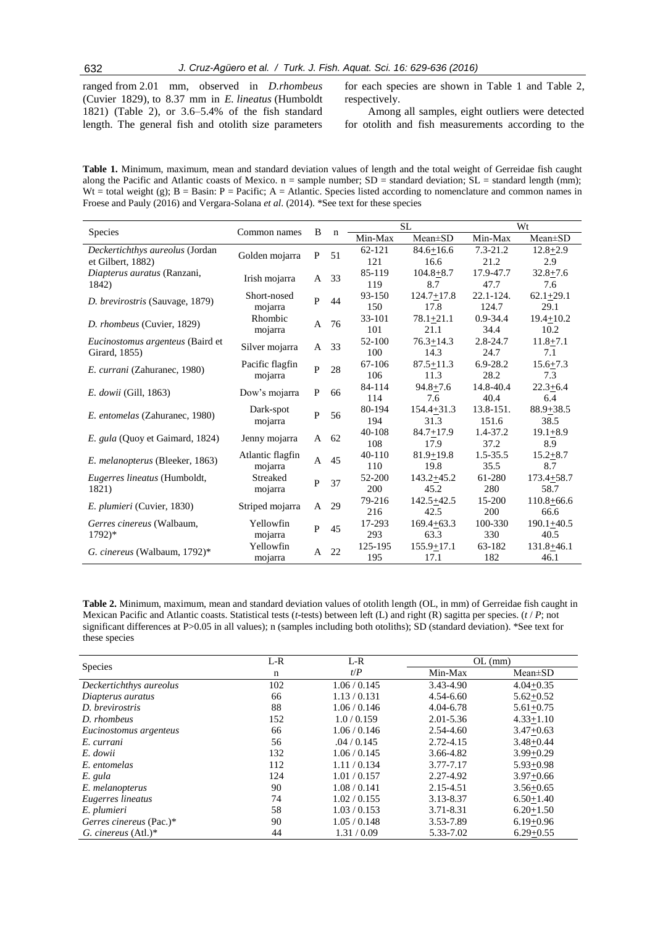ranged from 2.01 mm, observed in *D.rhombeus* (Cuvier 1829), to 8.37 mm in *E. lineatus* (Humboldt 1821) (Table 2), or 3.6–5.4% of the fish standard length. The general fish and otolith size parameters for each species are shown in Table 1 and Table 2, respectively.

Among all samples, eight outliers were detected for otolith and fish measurements according to the

**Table 1.** Minimum, maximum, mean and standard deviation values of length and the total weight of Gerreidae fish caught along the Pacific and Atlantic coasts of Mexico.  $n =$  sample number;  $SD =$  standard deviation;  $SL =$  standard length (mm); Wt = total weight (g);  $B = Basin: P = Pacific; A = Atlantic$ . Species listed according to nomenclature and common names in Froese and Pauly (2016) and Vergara-Solana *et al*. (2014). \*See text for these species

|                                  |                             |              |    |         | <b>SL</b>      | Wt            |                |  |
|----------------------------------|-----------------------------|--------------|----|---------|----------------|---------------|----------------|--|
| Species                          | Common names                | B            | n  | Min-Max | $Mean \pm SD$  | Min-Max       | $Mean \pm SD$  |  |
| Deckertichthys aureolus (Jordan  |                             | P            | 51 | 62-121  | $84.6 + 16.6$  | $7.3 - 21.2$  | $12.8 + 2.9$   |  |
| et Gilbert, 1882)                | Golden mojarra              |              |    | 121     | 16.6           | 21.2          | 2.9            |  |
| Diapterus auratus (Ranzani,      | Irish mojarra               | A            | 33 | 85-119  | $104.8 + 8.7$  | 17.9-47.7     | $32.8 + 7.6$   |  |
| 1842)                            |                             |              |    | 119     | 8.7            | 47.7          | 7.6            |  |
| D. brevirostris (Sauvage, 1879)  | Short-nosed                 | $\mathbf{P}$ | 44 | 93-150  | $124.7 + 17.8$ | $22.1 - 124.$ | $62.1 + 29.1$  |  |
|                                  | mojarra                     |              |    | 150     | 17.8           | 124.7         | 29.1           |  |
| D. rhombeus (Cuvier, 1829)       | Rhombic                     | A            | 76 | 33-101  | $78.1 + 21.1$  | $0.9 - 34.4$  | $19.4 + 10.2$  |  |
|                                  | mojarra                     |              |    | 101     | 21.1           | 34.4          | 10.2           |  |
| Eucinostomus argenteus (Baird et | Silver mojarra              | A            | 33 | 52-100  | $76.3 + 14.3$  | $2.8 - 24.7$  | $11.8 + 7.1$   |  |
| Girard, 1855)                    |                             |              |    | 100     | 14.3           | 24.7          | 7.1            |  |
| E. currani (Zahuranec, 1980)     | Pacific flagfin<br>mojarra  | $\mathbf{p}$ | 28 | 67-106  | $87.5 + 11.3$  | $6.9 - 28.2$  | $15.6 + 7.3$   |  |
|                                  |                             |              |    | 106     | 11.3           | 28.2          | 7.3            |  |
| <i>E. dowii</i> (Gill, 1863)     | Dow's mojarra               | $\mathbf{P}$ | 66 | 84-114  | $94.8 + 7.6$   | 14.8-40.4     | $22.3 + 6.4$   |  |
|                                  |                             |              |    | 114     | 7.6            | 40.4          | 6.4            |  |
| E. entomelas (Zahuranec, 1980)   | Dark-spot<br>mojarra        | $\mathbf{P}$ | 56 | 80-194  | $154.4 + 31.3$ | 13.8-151.     | $88.9 + 38.5$  |  |
|                                  |                             |              |    | 194     | 31.3           | 151.6         | 38.5           |  |
| E. gula (Quoy et Gaimard, 1824)  | Jenny mojarra               | A            | 62 | 40-108  | $84.7 + 17.9$  | 1.4-37.2      | $19.1 + 8.9$   |  |
|                                  |                             |              |    | 108     | 17.9           | 37.2          | 8.9            |  |
| E. melanopterus (Bleeker, 1863)  | Atlantic flagfin<br>mojarra | $\mathsf{A}$ | 45 | 40-110  | $81.9 + 19.8$  | $1.5 - 35.5$  | $15.2 + 8.7$   |  |
|                                  |                             |              |    | 110     | 19.8           | 35.5          | 8.7            |  |
| Eugerres lineatus (Humboldt,     | Streaked                    | $\mathbf{P}$ | 37 | 52-200  | $143.2 + 45.2$ | 61-280        | $173.4 + 58.7$ |  |
| 1821)                            | mojarra                     |              |    | 200     | 45.2           | 280           | 58.7           |  |
| E. plumieri (Cuvier, 1830)       | Striped mojarra             | A            | 29 | 79-216  | $142.5 + 42.5$ | 15-200        | $110.8 + 66.6$ |  |
|                                  |                             |              |    | 216     | 42.5           | 200           | 66.6           |  |
| Gerres cinereus (Walbaum,        | Yellowfin                   | $\mathbf{P}$ | 45 | 17-293  | $169.4 + 63.3$ | 100-330       | $190.1 + 40.5$ |  |
| $1792)*$                         | mojarra                     |              |    | 293     | 63.3           | 330           | 40.5           |  |
| G. cinereus (Walbaum, $1792$ )*  | Yellowfin                   | A            | 22 | 125-195 | $155.9 + 17.1$ | 63-182        | $131.8 + 46.1$ |  |
|                                  | mojarra                     |              |    | 195     | 17.1           | 182           | 46.1           |  |

**Table 2.** Minimum, maximum, mean and standard deviation values of otolith length (OL, in mm) of Gerreidae fish caught in Mexican Pacific and Atlantic coasts. Statistical tests (*t*-tests) between left (L) and right (R) sagitta per species. (*t* / *P*; not significant differences at P>0.05 in all values); n (samples including both otoliths); SD (standard deviation). \*See text for these species

|                         | $L-R$ | $L-R$        | $OL$ (mm)     |               |  |  |  |
|-------------------------|-------|--------------|---------------|---------------|--|--|--|
| <b>Species</b>          | n     | t/P          | Min-Max       | $Mean \pm SD$ |  |  |  |
| Deckertichthys aureolus | 102   | 1.06 / 0.145 | 3.43-4.90     | $4.04 + 0.35$ |  |  |  |
| Diapterus auratus       | 66    | 1.13/0.131   | $4.54 - 6.60$ | $5.62 + 0.52$ |  |  |  |
| D. brevirostris         | 88    | 1.06 / 0.146 | 4.04-6.78     | $5.61 + 0.75$ |  |  |  |
| D. rhombeus             | 152   | 1.0/0.159    | $2.01 - 5.36$ | $4.33 + 1.10$ |  |  |  |
| Eucinostomus argenteus  | 66    | 1.06 / 0.146 | 2.54-4.60     | $3.47 + 0.63$ |  |  |  |
| E. currani              | 56    | .04/0.145    | 2.72-4.15     | $3.48 + 0.44$ |  |  |  |
| E. dowii                | 132   | 1.06 / 0.145 | 3.66-4.82     | $3.99 + 0.29$ |  |  |  |
| E. entomelas            | 112   | 1.11/0.134   | 3.77-7.17     | $5.93 + 0.98$ |  |  |  |
| E. gula                 | 124   | 1.01 / 0.157 | 2.27-4.92     | $3.97 + 0.66$ |  |  |  |
| E. melanopterus         | 90    | 1.08 / 0.141 | 2.15-4.51     | $3.56 + 0.65$ |  |  |  |
| Eugerres lineatus       | 74    | 1.02 / 0.155 | 3.13-8.37     | $6.50 + 1.40$ |  |  |  |
| E. plumieri             | 58    | 1.03/0.153   | 3.71-8.31     | $6.20 + 1.50$ |  |  |  |
| Gerres cinereus (Pac.)* | 90    | 1.05/0.148   | 3.53-7.89     | $6.19 + 0.96$ |  |  |  |
| G. cinereus $(Atl.)^*$  | 44    | 1.31/0.09    | 5.33-7.02     | $6.29 + 0.55$ |  |  |  |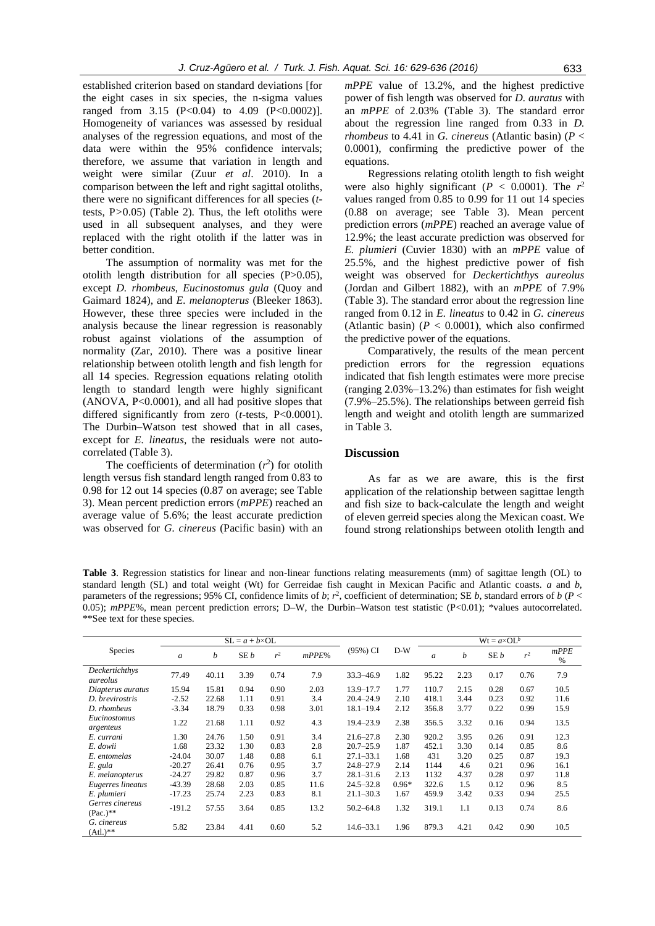established criterion based on standard deviations [for the eight cases in six species, the n-sigma values ranged from 3.15  $(P<0.04)$  to 4.09  $(P<0.0002)$ ]. Homogeneity of variances was assessed by residual analyses of the regression equations, and most of the data were within the 95% confidence intervals; therefore, we assume that variation in length and weight were similar (Zuur *et al*. 2010). In a comparison between the left and right sagittal otoliths, there were no significant differences for all species (*t*tests, P*>*0.05) (Table 2). Thus, the left otoliths were used in all subsequent analyses, and they were replaced with the right otolith if the latter was in better condition.

The assumption of normality was met for the otolith length distribution for all species (P>0.05), except *D. rhombeus*, *Eucinostomus gula* (Quoy and Gaimard 1824), and *E. melanopterus* (Bleeker 1863)*.* However, these three species were included in the analysis because the linear regression is reasonably robust against violations of the assumption of normality (Zar, 2010). There was a positive linear relationship between otolith length and fish length for all 14 species. Regression equations relating otolith length to standard length were highly significant (ANOVA, P<0.0001), and all had positive slopes that differed significantly from zero (*t-*tests, P<0.0001). The Durbin–Watson test showed that in all cases, except for *E. lineatus*, the residuals were not autocorrelated (Table 3).

The coefficients of determination  $(r^2)$  for otolith length versus fish standard length ranged from 0.83 to 0.98 for 12 out 14 species (0.87 on average; see Table 3). Mean percent prediction errors (*mPPE*) reached an average value of 5.6%; the least accurate prediction was observed for *G. cinereus* (Pacific basin) with an

*mPPE* value of 13.2%, and the highest predictive power of fish length was observed for *D. auratus* with an *mPPE* of 2.03% (Table 3). The standard error about the regression line ranged from 0.33 in *D. rhombeus* to 4.41 in *G. cinereus* (Atlantic basin) (*P* < 0.0001), confirming the predictive power of the equations.

Regressions relating otolith length to fish weight were also highly significant ( $P < 0.0001$ ). The  $r^2$ values ranged from 0.85 to 0.99 for 11 out 14 species (0.88 on average; see Table 3). Mean percent prediction errors (*mPPE*) reached an average value of 12.9%; the least accurate prediction was observed for *E. plumieri* (Cuvier 1830) with an *mPPE* value of 25.5%, and the highest predictive power of fish weight was observed for *Deckertichthys aureolus* (Jordan and Gilbert 1882), with an *mPPE* of 7.9% (Table 3). The standard error about the regression line ranged from 0.12 in *E. lineatus* to 0.42 in *G. cinereus*  (Atlantic basin)  $(P < 0.0001)$ , which also confirmed the predictive power of the equations.

Comparatively, the results of the mean percent prediction errors for the regression equations indicated that fish length estimates were more precise (ranging 2.03%–13.2%) than estimates for fish weight (7.9%–25.5%). The relationships between gerreid fish length and weight and otolith length are summarized in Table 3.

### **Discussion**

As far as we are aware, this is the first application of the relationship between sagittae length and fish size to back-calculate the length and weight of eleven gerreid species along the Mexican coast. We found strong relationships between otolith length and

**Table 3**. Regression statistics for linear and non-linear functions relating measurements (mm) of sagittae length (OL) to standard length (SL) and total weight (Wt) for Gerreidae fish caught in Mexican Pacific and Atlantic coasts. *a* and *b,*  parameters of the regressions; 95% CI, confidence limits of *b*;  $r^2$ , coefficient of determination; SE *b*, standard errors of *b* (*P* < 0.05);  $mPE\%$ , mean percent prediction errors; D–W, the Durbin–Watson test statistic (P<0.01); \*values autocorrelated. \*\*See text for these species.

|                                  |               | $SL = a + b \times OL$ |      |                |       |               |         | $Wt = a \times OL^b$ |      |      |                |           |
|----------------------------------|---------------|------------------------|------|----------------|-------|---------------|---------|----------------------|------|------|----------------|-----------|
| Species                          | $\mathfrak a$ | b                      | SE b | r <sup>2</sup> | mPPE% | (95%) CI      | $D-W$   | a                    | b    | SE b | r <sup>2</sup> | mPPE<br>% |
| Deckertichthys<br>aureolus       | 77.49         | 40.11                  | 3.39 | 0.74           | 7.9   | 33.3-46.9     | 1.82    | 95.22                | 2.23 | 0.17 | 0.76           | 7.9       |
| Diapterus auratus                | 15.94         | 15.81                  | 0.94 | 0.90           | 2.03  | 13.9-17.7     | 1.77    | 110.7                | 2.15 | 0.28 | 0.67           | 10.5      |
| D. brevirostris                  | $-2.52$       | 22.68                  | 1.11 | 0.91           | 3.4   | $20.4 - 24.9$ | 2.10    | 418.1                | 3.44 | 0.23 | 0.92           | 11.6      |
| D. rhombeus                      | $-3.34$       | 18.79                  | 0.33 | 0.98           | 3.01  | $18.1 - 19.4$ | 2.12    | 356.8                | 3.77 | 0.22 | 0.99           | 15.9      |
| Eucinostomus<br>argenteus        | 1.22          | 21.68                  | 1.11 | 0.92           | 4.3   | 19.4-23.9     | 2.38    | 356.5                | 3.32 | 0.16 | 0.94           | 13.5      |
| E. currani                       | 1.30          | 24.76                  | 1.50 | 0.91           | 3.4   | $21.6 - 27.8$ | 2.30    | 920.2                | 3.95 | 0.26 | 0.91           | 12.3      |
| E. dowii                         | 1.68          | 23.32                  | 1.30 | 0.83           | 2.8   | $20.7 - 25.9$ | 1.87    | 452.1                | 3.30 | 0.14 | 0.85           | 8.6       |
| E. entomelas                     | $-24.04$      | 30.07                  | 1.48 | 0.88           | 6.1   | $27.1 - 33.1$ | 1.68    | 431                  | 3.20 | 0.25 | 0.87           | 19.3      |
| E. gula                          | $-20.27$      | 26.41                  | 0.76 | 0.95           | 3.7   | $24.8 - 27.9$ | 2.14    | 1144                 | 4.6  | 0.21 | 0.96           | 16.1      |
| E. melanopterus                  | $-24.27$      | 29.82                  | 0.87 | 0.96           | 3.7   | $28.1 - 31.6$ | 2.13    | 1132                 | 4.37 | 0.28 | 0.97           | 11.8      |
| Eugerres lineatus                | $-43.39$      | 28.68                  | 2.03 | 0.85           | 11.6  | $24.5 - 32.8$ | $0.96*$ | 322.6                | 1.5  | 0.12 | 0.96           | 8.5       |
| E. plumieri                      | $-17.23$      | 25.74                  | 2.23 | 0.83           | 8.1   | $21.1 - 30.3$ | 1.67    | 459.9                | 3.42 | 0.33 | 0.94           | 25.5      |
| Gerres cinereus<br>$(Pac.)^{**}$ | $-191.2$      | 57.55                  | 3.64 | 0.85           | 13.2  | $50.2 - 64.8$ | 1.32    | 319.1                | 1.1  | 0.13 | 0.74           | 8.6       |
| G. cinereus<br>$(Atl.)^{**}$     | 5.82          | 23.84                  | 4.41 | 0.60           | 5.2   | $14.6 - 33.1$ | 1.96    | 879.3                | 4.21 | 0.42 | 0.90           | 10.5      |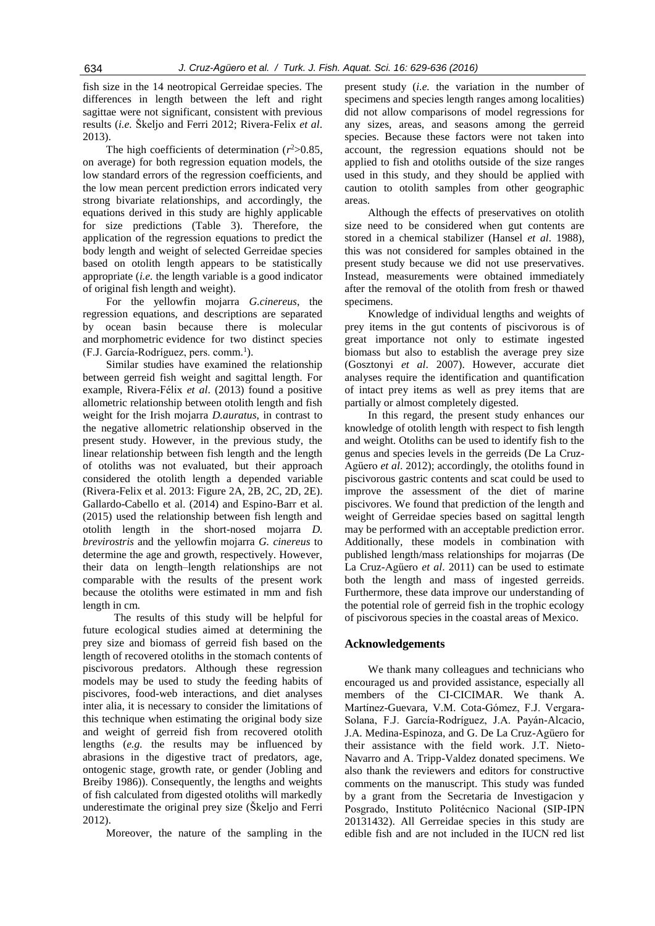fish size in the 14 neotropical Gerreidae species. The differences in length between the left and right sagittae were not significant, consistent with previous results (*i.e.* Škeljo and Ferri 2012; Rivera-Felix *et al*. 2013).

The high coefficients of determination  $(r^2 > 0.85)$ , on average) for both regression equation models, the low standard errors of the regression coefficients, and the low mean percent prediction errors indicated very strong bivariate relationships, and accordingly, the equations derived in this study are highly applicable for size predictions (Table 3). Therefore, the application of the regression equations to predict the body length and weight of selected Gerreidae species based on otolith length appears to be statistically appropriate (*i.e.* the length variable is a good indicator of original fish length and weight).

For the yellowfin mojarra *G.cinereus*, the regression equations, and descriptions are separated by ocean basin because there is molecular and morphometric evidence for two distinct species (F.J. García-Rodríguez, pers. comm.<sup>1</sup>).

Similar studies have examined the relationship between gerreid fish weight and sagittal length. For example, Rivera-Félix *et al*. (2013) found a positive allometric relationship between otolith length and fish weight for the Irish mojarra *D.auratus*, in contrast to the negative allometric relationship observed in the present study. However, in the previous study, the linear relationship between fish length and the length of otoliths was not evaluated, but their approach considered the otolith length a depended variable (Rivera-Felix et al. 2013: Figure 2A, 2B, 2C, 2D, 2E). Gallardo-Cabello et al. (2014) and Espino-Barr et al. (2015) used the relationship between fish length and otolith length in the short-nosed mojarra *D. brevirostris* and the yellowfin mojarra *G. cinereus* to determine the age and growth, respectively. However, their data on length–length relationships are not comparable with the results of the present work because the otoliths were estimated in mm and fish length in cm.

The results of this study will be helpful for future ecological studies aimed at determining the prey size and biomass of gerreid fish based on the length of recovered otoliths in the stomach contents of piscivorous predators. Although these regression models may be used to study the feeding habits of piscivores, food-web interactions, and diet analyses inter alia, it is necessary to consider the limitations of this technique when estimating the original body size and weight of gerreid fish from recovered otolith lengths (*e.g.* the results may be influenced by abrasions in the digestive tract of predators, age, ontogenic stage, growth rate, or gender (Jobling and Breiby 1986)). Consequently, the lengths and weights of fish calculated from digested otoliths will markedly underestimate the original prey size (Škeljo and Ferri 2012).

Moreover, the nature of the sampling in the

present study (*i.e.* the variation in the number of specimens and species length ranges among localities) did not allow comparisons of model regressions for any sizes, areas, and seasons among the gerreid species. Because these factors were not taken into account, the regression equations should not be applied to fish and otoliths outside of the size ranges used in this study, and they should be applied with caution to otolith samples from other geographic areas.

Although the effects of preservatives on otolith size need to be considered when gut contents are stored in a chemical stabilizer (Hansel *et al*. 1988), this was not considered for samples obtained in the present study because we did not use preservatives. Instead, measurements were obtained immediately after the removal of the otolith from fresh or thawed specimens.

Knowledge of individual lengths and weights of prey items in the gut contents of piscivorous is of great importance not only to estimate ingested biomass but also to establish the average prey size (Gosztonyi *et al*. 2007). However, accurate diet analyses require the identification and quantification of intact prey items as well as prey items that are partially or almost completely digested.

In this regard, the present study enhances our knowledge of otolith length with respect to fish length and weight. Otoliths can be used to identify fish to the genus and species levels in the gerreids (De La Cruz-Agüero *et al*. 2012); accordingly, the otoliths found in piscivorous gastric contents and scat could be used to improve the assessment of the diet of marine piscivores. We found that prediction of the length and weight of Gerreidae species based on sagittal length may be performed with an acceptable prediction error. Additionally, these models in combination with published length/mass relationships for mojarras (De La Cruz-Agüero *et al*. 2011) can be used to estimate both the length and mass of ingested gerreids. Furthermore, these data improve our understanding of the potential role of gerreid fish in the trophic ecology of piscivorous species in the coastal areas of Mexico.

### **Acknowledgements**

We thank many colleagues and technicians who encouraged us and provided assistance, especially all members of the CI-CICIMAR. We thank A. Martínez-Guevara, V.M. Cota-Gómez, F.J. Vergara-Solana, F.J. García-Rodríguez, J.A. Payán-Alcacio, J.A. Medina-Espinoza, and G. De La Cruz-Agüero for their assistance with the field work. J.T. Nieto-Navarro and A. Tripp-Valdez donated specimens. We also thank the reviewers and editors for constructive comments on the manuscript. This study was funded by a grant from the Secretaria de Investigacion y Posgrado, Instituto Politécnico Nacional (SIP-IPN 20131432). All Gerreidae species in this study are edible fish and are not included in the IUCN red list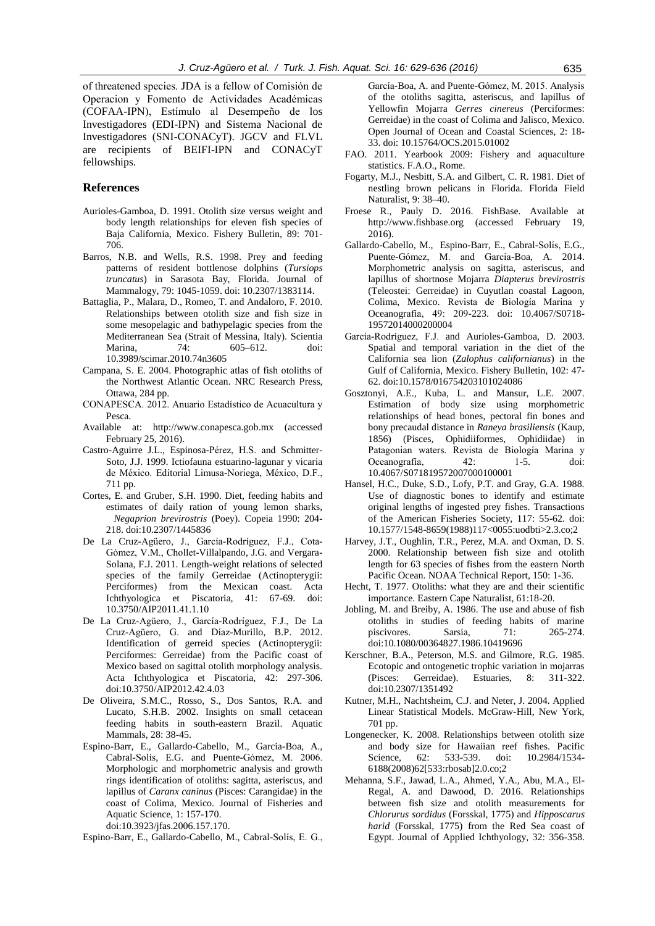of threatened species. JDA is a fellow of Comisión de Operacion y Fomento de Actividades Académicas (COFAA-IPN), Estímulo al Desempeño de los Investigadores (EDI-IPN) and Sistema Nacional de Investigadores (SNI-CONACyT). JGCV and FLVL are recipients of BEIFI-IPN and CONACyT fellowships.

### **References**

- Aurioles-Gamboa, D. 1991. Otolith size versus weight and body length relationships for eleven fish species of Baja California, Mexico. Fishery Bulletin, 89: 701- 706.
- Barros, N.B. and Wells, R.S. 1998. Prey and feeding patterns of resident bottlenose dolphins (*Tursiops truncatus*) in Sarasota Bay, Florida. Journal of Mammalogy, 79: 1045-1059. doi: 10.2307/1383114.
- Battaglia, P., Malara, D., Romeo, T. and Andaloro, F. 2010. Relationships between otolith size and fish size in some mesopelagic and bathypelagic species from the Mediterranean Sea (Strait of Messina, Italy). Scientia Marina, 74: 605–612. doi: 10.3989/scimar.2010.74n3605
- Campana, S. E. 2004. Photographic atlas of fish otoliths of the Northwest Atlantic Ocean. NRC Research Press, Ottawa, 284 pp.
- CONAPESCA. 2012. Anuario Estadístico de Acuacultura y Pesca.
- Available at: http://www.conapesca.gob.mx (accessed February 25, 2016).
- Castro-Aguirre J.L., Espinosa-Pérez, H.S. and Schmitter-Soto, J.J. 1999. Ictiofauna estuarino-lagunar y vicaria de México. Editorial Limusa-Noriega, México, D.F., 711 pp.
- Cortes, E. and Gruber, S.H. 1990. Diet, feeding habits and estimates of daily ration of young lemon sharks, *Negaprion brevirostris* (Poey). Copeia 1990: 204- 218. doi:10.2307/1445836
- De La Cruz-Agüero, J., García-Rodríguez, F.J., Cota-Gómez, V.M., Chollet-Villalpando, J.G. and Vergara-Solana, F.J. 2011. Length-weight relations of selected species of the family Gerreidae (Actinopterygii: Perciformes) from the Mexican coast. Acta Ichthyologica et Piscatoria, 41: 67-69. doi: 10.3750/AIP2011.41.1.10
- De La Cruz-Agüero, J., García-Rodríguez, F.J., De La Cruz-Agüero, G. and Díaz-Murillo, B.P. 2012. Identification of gerreid species (Actinopterygii: Perciformes: Gerreidae) from the Pacific coast of Mexico based on sagittal otolith morphology analysis. Acta Ichthyologica et Piscatoria, 42: 297-306. doi:10.3750/AIP2012.42.4.03
- De Oliveira, S.M.C., Rosso, S., Dos Santos, R.A. and Lucato, S.H.B. 2002. Insights on small cetacean feeding habits in south-eastern Brazil. Aquatic Mammals, 28: 38-45.
- Espino-Barr, E., Gallardo-Cabello, M., Garcia-Boa, A., Cabral-Solís, E.G. and Puente-Gómez, M. 2006. Morphologic and morphometric analysis and growth rings identification of otoliths: sagitta, asteriscus, and lapillus of *Caranx caninus* (Pisces: Carangidae) in the coast of Colima, Mexico. Journal of Fisheries and Aquatic Science, 1: 157-170. doi:10.3923/jfas.2006.157.170.

Espino-Barr, E., Gallardo-Cabello, M., Cabral-Solís, E. G.,

García-Boa, A. and Puente-Gómez, M. 2015. Analysis of the otoliths sagitta, asteriscus, and lapillus of Yellowfin Mojarra *Gerres cinereus* (Perciformes: Gerreidae) in the coast of Colima and Jalisco, Mexico. Open Journal of Ocean and Coastal Sciences, 2: 18- 33. doi: 10.15764/OCS.2015.01002

- FAO. 2011. Yearbook 2009: Fishery and aquaculture statistics. F.A.O., Rome.
- Fogarty, M.J., Nesbitt, S.A. and Gilbert, C. R. 1981. Diet of nestling brown pelicans in Florida. Florida Field Naturalist, 9: 38–40.
- Froese R., Pauly D. 2016. FishBase. Available at http://www.fishbase.org (accessed February 19, 2016).
- Gallardo-Cabello, M., Espino-Barr, E., Cabral-Solís, E.G., Puente-Gómez, M. and Garcia-Boa, A. 2014. Morphometric analysis on sagitta, asteriscus, and lapillus of shortnose Mojarra *Diapterus brevirostris* (Teleostei: Gerreidae) in Cuyutlan coastal Lagoon, Colima, Mexico. Revista de Biología Marina y Oceanografía, 49: 209-223. doi: 10.4067/S0718- 19572014000200004
- García-Rodríguez, F.J. and Aurioles-Gamboa, D. 2003. Spatial and temporal variation in the diet of the California sea lion (*Zalophus californianus*) in the Gulf of California, Mexico. Fishery Bulletin, 102: 47- 62. doi:10.1578/016754203101024086
- Gosztonyi, A.E., Kuba, L. and Mansur, L.E. 2007. Estimation of body size using morphometric relationships of head bones, pectoral fin bones and bony precaudal distance in *Raneya brasiliensis* (Kaup, 1856) (Pisces, Ophidiiformes, Ophidiidae) in Patagonian waters. Revista de Biología Marina y Oceanografía, 42: 1-5. doi: 10.4067/S071819572007000100001
- Hansel, H.C., Duke, S.D., Lofy, P.T. and Gray, G.A. 1988. Use of diagnostic bones to identify and estimate original lengths of ingested prey fishes. Transactions of the American Fisheries Society, 117: 55-62. doi: 10.1577/1548-8659(1988)117<0055:uodbti>2.3.co;2
- Harvey, J.T., Oughlin, T.R., Perez, M.A. and Oxman, D. S. 2000. Relationship between fish size and otolith length for 63 species of fishes from the eastern North Pacific Ocean. NOAA Technical Report, 150: 1-36.
- Hecht, T. 1977. Otoliths: what they are and their scientific importance. Eastern Cape Naturalist, 61:18-20.
- Jobling, M. and Breiby, A. 1986. The use and abuse of fish otoliths in studies of feeding habits of marine piscivores. Sarsia, 71: 265-274. doi:10.1080/00364827.1986.10419696
- Kerschner, B.A., Peterson, M.S. and Gilmore, R.G. 1985. Ecotopic and ontogenetic trophic variation in mojarras (Pisces: Gerreidae). Estuaries, 8: 311-322. doi:10.2307/1351492
- Kutner, M.H., Nachtsheim, C.J. and Neter, J. 2004. Applied Linear Statistical Models. McGraw-Hill, New York, 701 pp.
- Longenecker, K. 2008. Relationships between otolith size and body size for Hawaiian reef fishes. Pacific Science, 62: 533-539. doi: 10.2984/1534-6188(2008)62[533:rbosab]2.0.co;2
- Mehanna, S.F., Jawad, L.A., Ahmed, Y.A., Abu, M.A., El-Regal, A. and Dawood, D. 2016. Relationships between fish size and otolith measurements for *Chlorurus sordidus* (Forsskal, 1775) and *Hipposcarus harid* (Forsskal, 1775) from the Red Sea coast of Egypt. Journal of Applied Ichthyology, 32: 356-358.